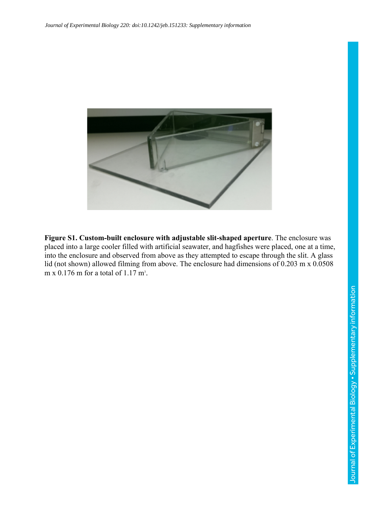

**Figure S1. Custom-built enclosure with adjustable slit-shaped aperture**. The enclosure was placed into a large cooler filled with artificial seawater, and hagfishes were placed, one at a time, into the enclosure and observed from above as they attempted to escape through the slit. A glass lid (not shown) allowed filming from above. The enclosure had dimensions of 0.203 m x 0.0508 m x  $0.176$  m for a total of  $1.17$  m<sup>3</sup>.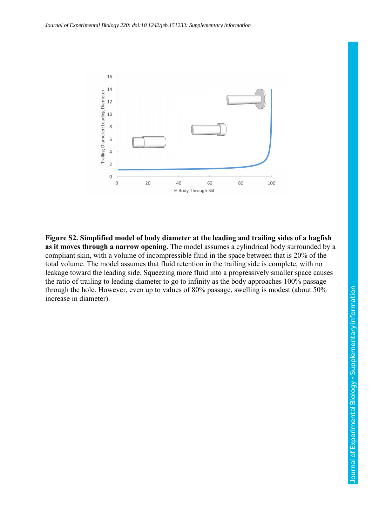

**Figure S2. Simplified model of body diameter at the leading and trailing sides of a hagfish as it moves through a narrow opening.** The model assumes a cylindrical body surrounded by a compliant skin, with a volume of incompressible fluid in the space between that is 20% of the total volume. The model assumes that fluid retention in the trailing side is complete, with no leakage toward the leading side. Squeezing more fluid into a progressively smaller space causes the ratio of trailing to leading diameter to go to infinity as the body approaches 100% passage through the hole. However, even up to values of 80% passage, swelling is modest (about 50% increase in diameter).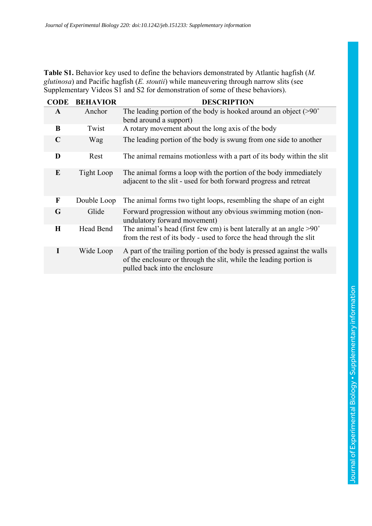**Table S1.** Behavior key used to define the behaviors demonstrated by Atlantic hagfish (*M. glutinosa*) and Pacific hagfish (*E. stoutii*) while maneuvering through narrow slits (see Supplementary Videos S1 and S2 for demonstration of some of these behaviors).

| <b>CODE</b> | <b>BEHAVIOR</b> | <b>DESCRIPTION</b>                                                                                                                                                              |
|-------------|-----------------|---------------------------------------------------------------------------------------------------------------------------------------------------------------------------------|
| A           | Anchor          | The leading portion of the body is hooked around an object $(>90°)$<br>bend around a support)                                                                                   |
| B           | Twist           | A rotary movement about the long axis of the body                                                                                                                               |
| $\mathbf C$ | Wag             | The leading portion of the body is swung from one side to another                                                                                                               |
| D           | Rest            | The animal remains motionless with a part of its body within the slit                                                                                                           |
| E           | Tight Loop      | The animal forms a loop with the portion of the body immediately<br>adjacent to the slit - used for both forward progress and retreat                                           |
| $\mathbf F$ | Double Loop     | The animal forms two tight loops, resembling the shape of an eight                                                                                                              |
| G           | Glide           | Forward progression without any obvious swimming motion (non-<br>undulatory forward movement)                                                                                   |
| $\mathbf H$ | Head Bend       | The animal's head (first few cm) is bent laterally at an angle $>90^\circ$<br>from the rest of its body - used to force the head through the slit                               |
|             | Wide Loop       | A part of the trailing portion of the body is pressed against the walls<br>of the enclosure or through the slit, while the leading portion is<br>pulled back into the enclosure |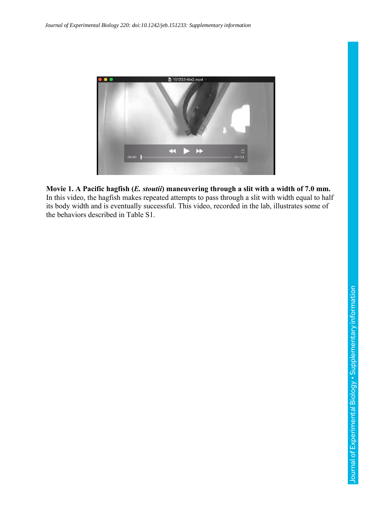

## **Movie 1. A Pacific hagfish (***E. stoutii***) maneuvering through a slit with a width of 7.0 mm.**

In this video, the hagfish makes repeated attempts to pass through a slit with width equal to half its body width and is eventually successful. This video, recorded in the lab, illustrates some of the behaviors described in Table S1.